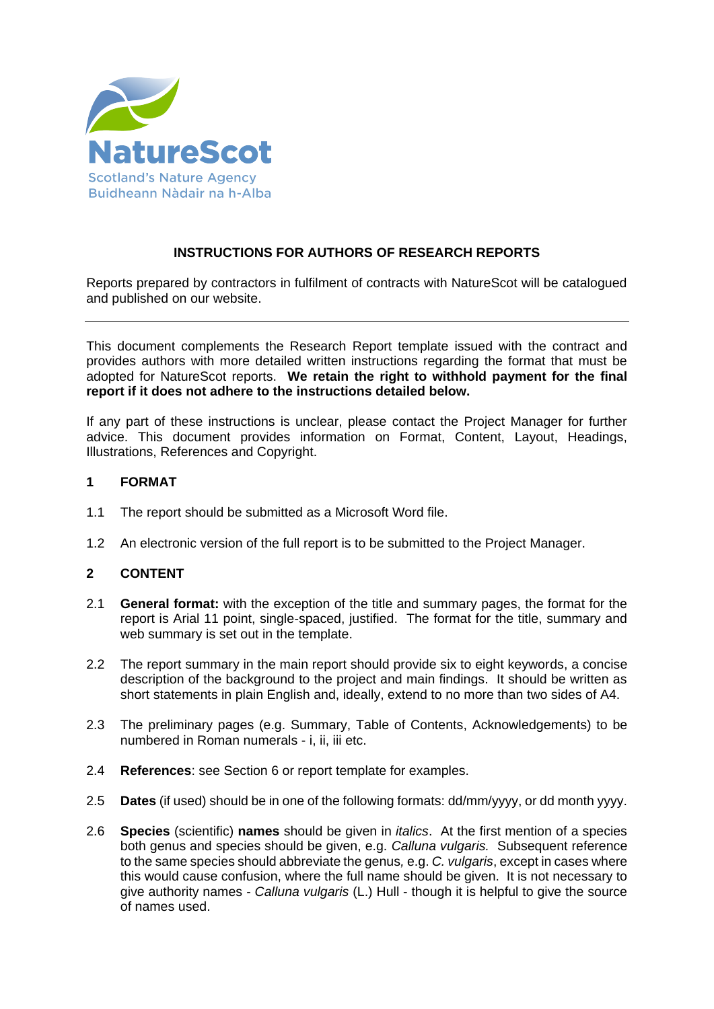

# **INSTRUCTIONS FOR AUTHORS OF RESEARCH REPORTS**

Reports prepared by contractors in fulfilment of contracts with NatureScot will be catalogued and published on our website.

This document complements the Research Report template issued with the contract and provides authors with more detailed written instructions regarding the format that must be adopted for NatureScot reports. **We retain the right to withhold payment for the final report if it does not adhere to the instructions detailed below.**

If any part of these instructions is unclear, please contact the Project Manager for further advice. This document provides information on Format, Content, Layout, Headings, Illustrations, References and Copyright.

## **1 FORMAT**

- 1.1 The report should be submitted as a Microsoft Word file.
- 1.2 An electronic version of the full report is to be submitted to the Project Manager.

## **2 CONTENT**

- 2.1 **General format:** with the exception of the title and summary pages, the format for the report is Arial 11 point, single-spaced, justified. The format for the title, summary and web summary is set out in the template.
- 2.2 The report summary in the main report should provide six to eight keywords, a concise description of the background to the project and main findings. It should be written as short statements in plain English and, ideally, extend to no more than two sides of A4.
- 2.3 The preliminary pages (e.g. Summary, Table of Contents, Acknowledgements) to be numbered in Roman numerals - i, ii, iii etc.
- 2.4 **References**: see Section 6 or report template for examples.
- 2.5 **Dates** (if used) should be in one of the following formats: dd/mm/yyyy, or dd month yyyy.
- 2.6 **Species** (scientific) **names** should be given in *italics*. At the first mention of a species both genus and species should be given, e.g. *Calluna vulgaris.* Subsequent reference to the same species should abbreviate the genus*,* e.g. *C. vulgaris*, except in cases where this would cause confusion, where the full name should be given. It is not necessary to give authority names - *Calluna vulgaris* (L.) Hull - though it is helpful to give the source of names used.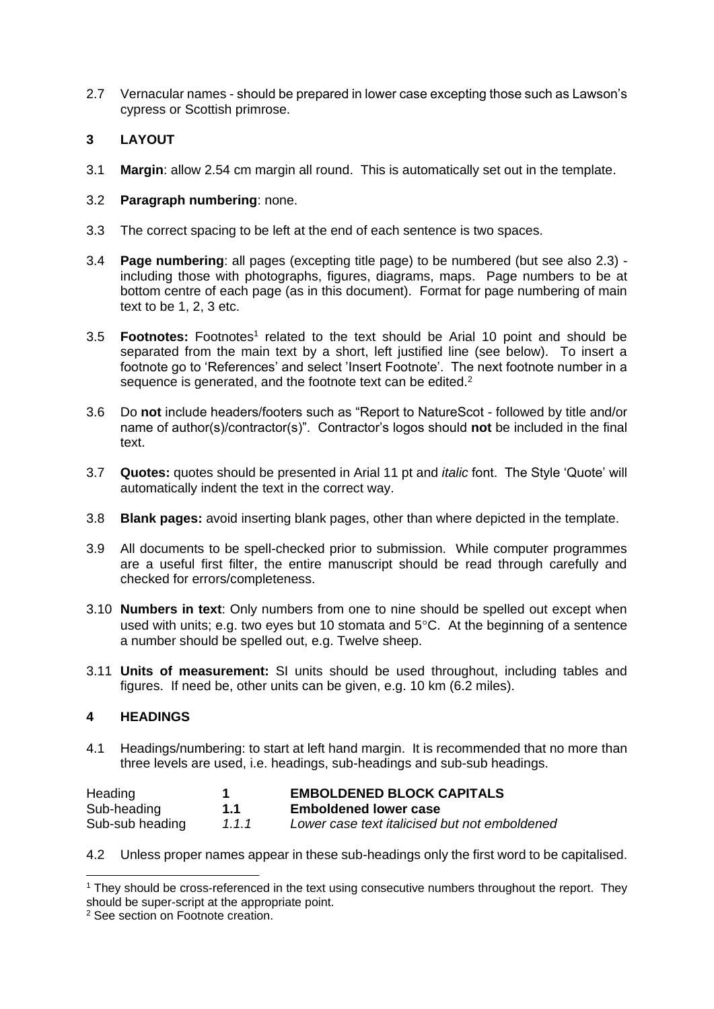2.7 Vernacular names - should be prepared in lower case excepting those such as Lawson's cypress or Scottish primrose.

# **3 LAYOUT**

3.1 **Margin**: allow 2.54 cm margin all round. This is automatically set out in the template.

## 3.2 **Paragraph numbering**: none.

- 3.3 The correct spacing to be left at the end of each sentence is two spaces.
- 3.4 **Page numbering**: all pages (excepting title page) to be numbered (but see also 2.3) including those with photographs, figures, diagrams, maps. Page numbers to be at bottom centre of each page (as in this document). Format for page numbering of main text to be 1, 2, 3 etc.
- 3.5 **Footnotes:** Footnotes<sup>1</sup> related to the text should be Arial 10 point and should be separated from the main text by a short, left justified line (see below). To insert a footnote go to 'References' and select 'Insert Footnote'. The next footnote number in a sequence is generated, and the footnote text can be edited.<sup>2</sup>
- 3.6 Do **not** include headers/footers such as "Report to NatureScot followed by title and/or name of author(s)/contractor(s)". Contractor's logos should **not** be included in the final text.
- 3.7 **Quotes:** quotes should be presented in Arial 11 pt and *italic* font. The Style 'Quote' will automatically indent the text in the correct way.
- 3.8 **Blank pages:** avoid inserting blank pages, other than where depicted in the template.
- 3.9 All documents to be spell-checked prior to submission. While computer programmes are a useful first filter, the entire manuscript should be read through carefully and checked for errors/completeness.
- 3.10 **Numbers in text**: Only numbers from one to nine should be spelled out except when used with units; e.g. two eyes but 10 stomata and  $5^{\circ}$ C. At the beginning of a sentence a number should be spelled out, e.g. Twelve sheep.
- 3.11 **Units of measurement:** SI units should be used throughout, including tables and figures. If need be, other units can be given, e.g. 10 km (6.2 miles).

## **4 HEADINGS**

-

4.1 Headings/numbering: to start at left hand margin. It is recommended that no more than three levels are used, i.e. headings, sub-headings and sub-sub headings.

| Heading<br>Sub-heading | 1.1 | <b>EMBOLDENED BLOCK CAPITALS</b><br><b>Emboldened lower case</b> |
|------------------------|-----|------------------------------------------------------------------|
|                        |     |                                                                  |

4.2 Unless proper names appear in these sub-headings only the first word to be capitalised.

<sup>&</sup>lt;sup>1</sup> They should be cross-referenced in the text using consecutive numbers throughout the report. They should be super-script at the appropriate point.

<sup>2</sup> See section on Footnote creation.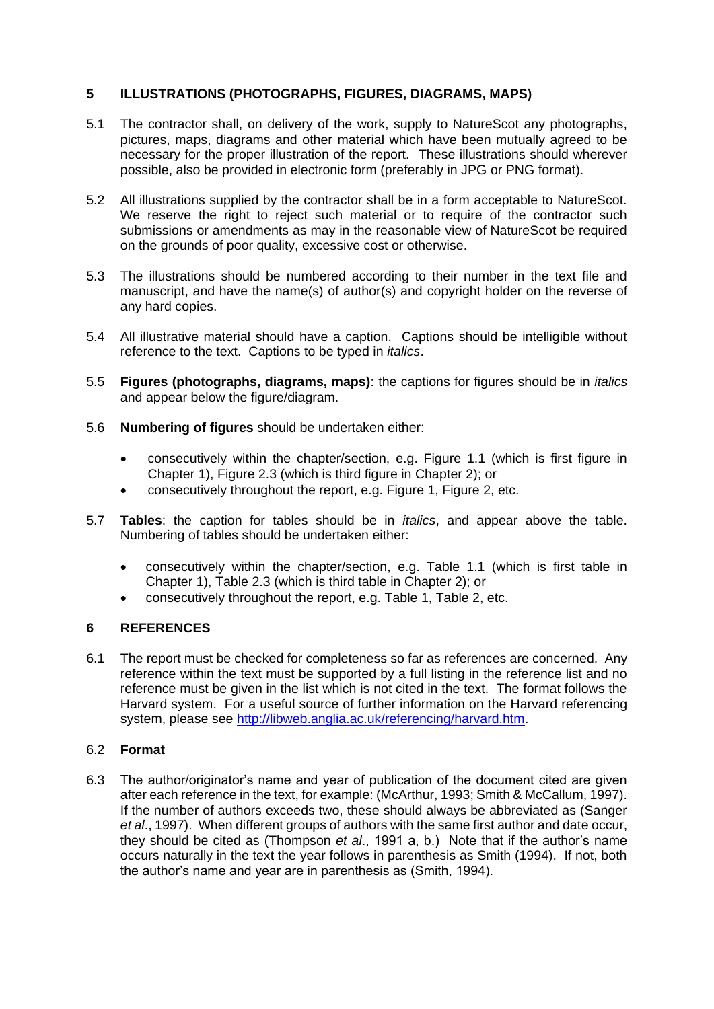## **5 ILLUSTRATIONS (PHOTOGRAPHS, FIGURES, DIAGRAMS, MAPS)**

- 5.1 The contractor shall, on delivery of the work, supply to NatureScot any photographs, pictures, maps, diagrams and other material which have been mutually agreed to be necessary for the proper illustration of the report. These illustrations should wherever possible, also be provided in electronic form (preferably in JPG or PNG format).
- 5.2 All illustrations supplied by the contractor shall be in a form acceptable to NatureScot. We reserve the right to reject such material or to require of the contractor such submissions or amendments as may in the reasonable view of NatureScot be required on the grounds of poor quality, excessive cost or otherwise.
- 5.3 The illustrations should be numbered according to their number in the text file and manuscript, and have the name(s) of author(s) and copyright holder on the reverse of any hard copies.
- 5.4 All illustrative material should have a caption. Captions should be intelligible without reference to the text. Captions to be typed in *italics*.
- 5.5 **Figures (photographs, diagrams, maps)**: the captions for figures should be in *italics* and appear below the figure/diagram.
- 5.6 **Numbering of figures** should be undertaken either:
	- consecutively within the chapter/section, e.g. Figure 1.1 (which is first figure in Chapter 1), Figure 2.3 (which is third figure in Chapter 2); or
	- consecutively throughout the report, e.g. Figure 1, Figure 2, etc.
- 5.7 **Tables**: the caption for tables should be in *italics*, and appear above the table. Numbering of tables should be undertaken either:
	- consecutively within the chapter/section, e.g. Table 1.1 (which is first table in Chapter 1), Table 2.3 (which is third table in Chapter 2); or
	- consecutively throughout the report, e.g. Table 1, Table 2, etc.

## **6 REFERENCES**

6.1 The report must be checked for completeness so far as references are concerned. Any reference within the text must be supported by a full listing in the reference list and no reference must be given in the list which is not cited in the text. The format follows the Harvard system. For a useful source of further information on the Harvard referencing system, please see [http://libweb.anglia.ac.uk/referencing/harvard.htm.](http://libweb.anglia.ac.uk/referencing/harvard.htm)

## 6.2 **Format**

6.3 The author/originator's name and year of publication of the document cited are given after each reference in the text, for example: (McArthur, 1993; Smith & McCallum, 1997). If the number of authors exceeds two, these should always be abbreviated as (Sanger *et al*., 1997). When different groups of authors with the same first author and date occur, they should be cited as (Thompson *et al*., 1991 a, b.) Note that if the author's name occurs naturally in the text the year follows in parenthesis as Smith (1994). If not, both the author's name and year are in parenthesis as (Smith, 1994).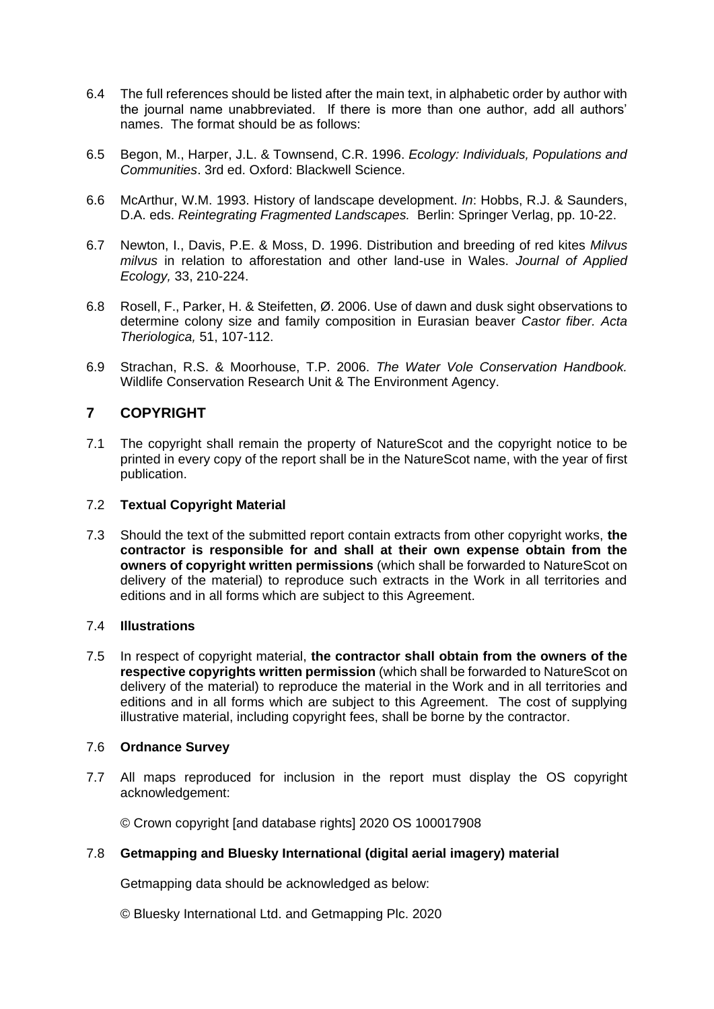- 6.4 The full references should be listed after the main text, in alphabetic order by author with the journal name unabbreviated. If there is more than one author, add all authors' names. The format should be as follows:
- 6.5 Begon, M., Harper, J.L. & Townsend, C.R. 1996. *Ecology: Individuals, Populations and Communities*. 3rd ed. Oxford: Blackwell Science.
- 6.6 McArthur, W.M. 1993. History of landscape development. *In*: Hobbs, R.J. & Saunders, D.A. eds. *Reintegrating Fragmented Landscapes.* Berlin: Springer Verlag, pp. 10-22.
- 6.7 Newton, I., Davis, P.E. & Moss, D. 1996. Distribution and breeding of red kites *Milvus milvus* in relation to afforestation and other land-use in Wales. *Journal of Applied Ecology,* 33, 210-224.
- 6.8 Rosell, F., Parker, H. & Steifetten, Ø. 2006. Use of dawn and dusk sight observations to determine colony size and family composition in Eurasian beaver *Castor fiber. Acta Theriologica,* 51, 107-112.
- 6.9 Strachan, R.S. & Moorhouse, T.P. 2006. *The Water Vole Conservation Handbook.*  Wildlife Conservation Research Unit & The Environment Agency.

# **7 COPYRIGHT**

7.1 The copyright shall remain the property of NatureScot and the copyright notice to be printed in every copy of the report shall be in the NatureScot name, with the year of first publication.

## 7.2 **Textual Copyright Material**

7.3 Should the text of the submitted report contain extracts from other copyright works, **the contractor is responsible for and shall at their own expense obtain from the owners of copyright written permissions** (which shall be forwarded to NatureScot on delivery of the material) to reproduce such extracts in the Work in all territories and editions and in all forms which are subject to this Agreement.

#### 7.4 **Illustrations**

7.5 In respect of copyright material, **the contractor shall obtain from the owners of the respective copyrights written permission** (which shall be forwarded to NatureScot on delivery of the material) to reproduce the material in the Work and in all territories and editions and in all forms which are subject to this Agreement. The cost of supplying illustrative material, including copyright fees, shall be borne by the contractor.

## 7.6 **Ordnance Survey**

7.7 All maps reproduced for inclusion in the report must display the OS copyright acknowledgement:

© Crown copyright [and database rights] 2020 OS 100017908

## 7.8 **Getmapping and Bluesky International (digital aerial imagery) material**

Getmapping data should be acknowledged as below:

© Bluesky International Ltd. and Getmapping Plc. 2020